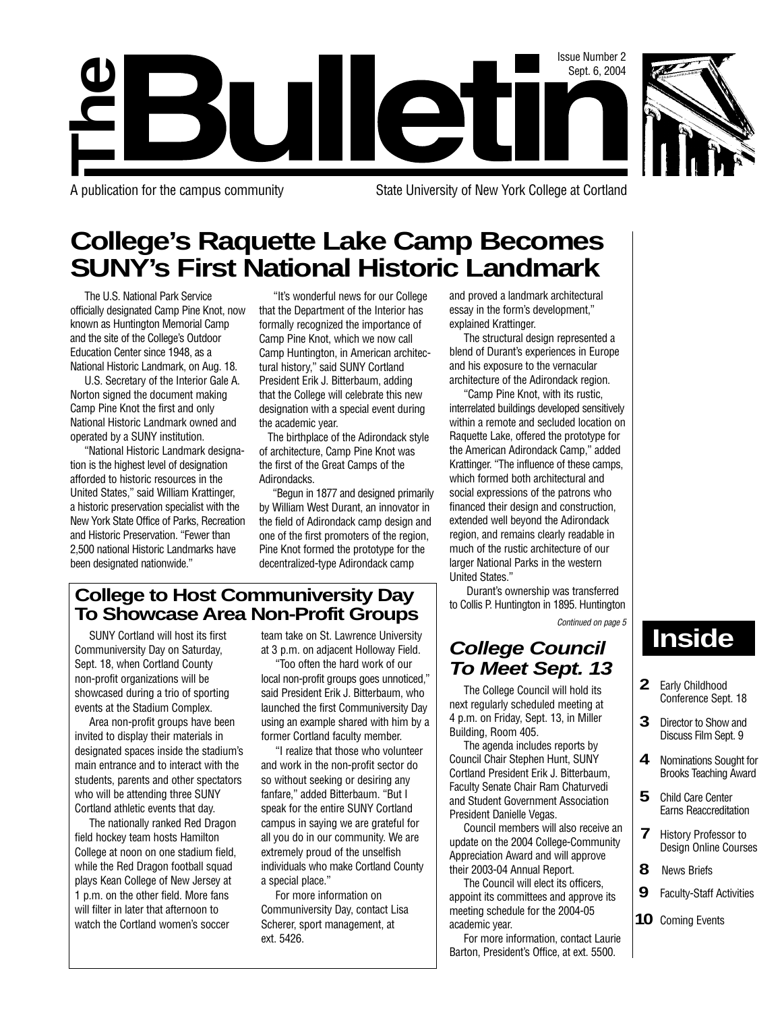

Sept. 6, 2004

Issue Number 2<br>Sept. 6, 2004

**The**

A publication for the campus community State University of New York College at Cortland

# **College's Raquette Lake Camp Becomes SUNY's First National Historic Landmark**

The U.S. National Park Service officially designated Camp Pine Knot, now known as Huntington Memorial Camp and the site of the College's Outdoor Education Center since 1948, as a National Historic Landmark, on Aug. 18.

U.S. Secretary of the Interior Gale A. Norton signed the document making Camp Pine Knot the first and only National Historic Landmark owned and operated by a SUNY institution.

"National Historic Landmark designation is the highest level of designation afforded to historic resources in the United States," said William Krattinger, a historic preservation specialist with the New York State Office of Parks, Recreation and Historic Preservation. "Fewer than 2,500 national Historic Landmarks have been designated nationwide."

"It's wonderful news for our College that the Department of the Interior has formally recognized the importance of Camp Pine Knot, which we now call Camp Huntington, in American architectural history," said SUNY Cortland President Erik J. Bitterbaum, adding that the College will celebrate this new designation with a special event during the academic year.

The birthplace of the Adirondack style of architecture, Camp Pine Knot was the first of the Great Camps of the Adirondacks.

"Begun in 1877 and designed primarily by William West Durant, an innovator in the field of Adirondack camp design and one of the first promoters of the region, Pine Knot formed the prototype for the decentralized-type Adirondack camp

and proved a landmark architectural essay in the form's development," explained Krattinger.

The structural design represented a blend of Durant's experiences in Europe and his exposure to the vernacular architecture of the Adirondack region.

"Camp Pine Knot, with its rustic, interrelated buildings developed sensitively within a remote and secluded location on Raquette Lake, offered the prototype for the American Adirondack Camp," added Krattinger. "The influence of these camps, which formed both architectural and social expressions of the patrons who financed their design and construction, extended well beyond the Adirondack region, and remains clearly readable in much of the rustic architecture of our larger National Parks in the western United States."

Durant's ownership was transferred to Collis P. Huntington in 1895. Huntington Continued on page 5

# **College Council To Meet Sept. 13**

The College Council will hold its next regularly scheduled meeting at 4 p.m. on Friday, Sept. 13, in Miller Building, Room 405.

The agenda includes reports by Council Chair Stephen Hunt, SUNY Cortland President Erik J. Bitterbaum, Faculty Senate Chair Ram Chaturvedi and Student Government Association President Danielle Vegas.

Council members will also receive an update on the 2004 College-Community Appreciation Award and will approve their 2003-04 Annual Report.

The Council will elect its officers, appoint its committees and approve its meeting schedule for the 2004-05 academic year.

For more information, contact Laurie Barton, President's Office, at ext. 5500.

# **Inside**

- **2** Early Childhood Conference Sept. 18
- **3** Director to Show and Discuss Film Sept. 9
- **4** Nominations Sought for Brooks Teaching Award
- **5** Child Care Center Earns Reaccreditation
- **7** History Professor to Design Online Courses
- **8** News Briefs
- **9** Faculty-Staff Activities
- **10** Coming Events

## **College to Host Communiversity Day To Showcase Area Non-Profit Groups**

SUNY Cortland will host its first Communiversity Day on Saturday, Sept. 18, when Cortland County non-profit organizations will be showcased during a trio of sporting events at the Stadium Complex.

Area non-profit groups have been invited to display their materials in designated spaces inside the stadium's main entrance and to interact with the students, parents and other spectators who will be attending three SUNY Cortland athletic events that day.

The nationally ranked Red Dragon field hockey team hosts Hamilton College at noon on one stadium field, while the Red Dragon football squad plays Kean College of New Jersey at 1 p.m. on the other field. More fans will filter in later that afternoon to watch the Cortland women's soccer

team take on St. Lawrence University at 3 p.m. on adjacent Holloway Field.

"Too often the hard work of our local non-profit groups goes unnoticed," said President Erik J. Bitterbaum, who launched the first Communiversity Day using an example shared with him by a former Cortland faculty member.

"I realize that those who volunteer and work in the non-profit sector do so without seeking or desiring any fanfare," added Bitterbaum. "But I speak for the entire SUNY Cortland campus in saying we are grateful for all you do in our community. We are extremely proud of the unselfish individuals who make Cortland County a special place."

For more information on Communiversity Day, contact Lisa Scherer, sport management, at ext. 5426.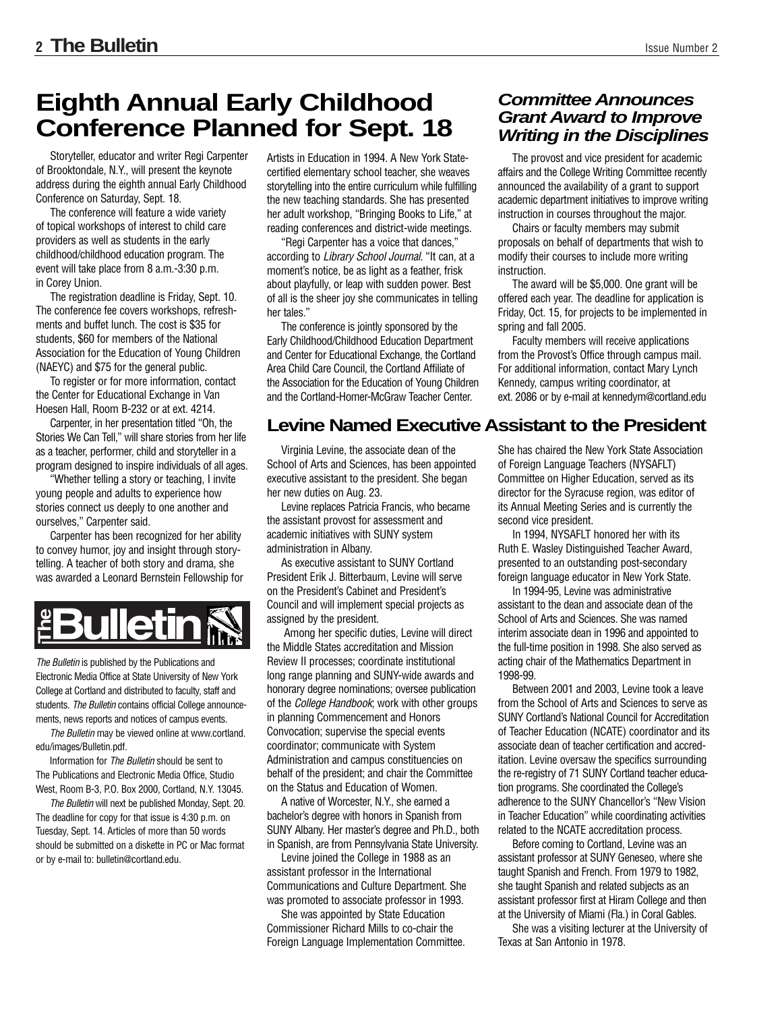# **Eighth Annual Early Childhood Conference Planned for Sept. 18**

Storyteller, educator and writer Regi Carpenter of Brooktondale, N.Y., will present the keynote address during the eighth annual Early Childhood Conference on Saturday, Sept. 18.

The conference will feature a wide variety of topical workshops of interest to child care providers as well as students in the early childhood/childhood education program. The event will take place from 8 a.m.-3:30 p.m. in Corey Union.

The registration deadline is Friday, Sept. 10. The conference fee covers workshops, refreshments and buffet lunch. The cost is \$35 for students, \$60 for members of the National Association for the Education of Young Children (NAEYC) and \$75 for the general public.

To register or for more information, contact the Center for Educational Exchange in Van Hoesen Hall, Room B-232 or at ext. 4214.

Carpenter, in her presentation titled "Oh, the Stories We Can Tell," will share stories from her life as a teacher, performer, child and storyteller in a program designed to inspire individuals of all ages.

"Whether telling a story or teaching, I invite young people and adults to experience how stories connect us deeply to one another and ourselves," Carpenter said.

Carpenter has been recognized for her ability to convey humor, joy and insight through storytelling. A teacher of both story and drama, she was awarded a Leonard Bernstein Fellowship for



The Bulletin is published by the Publications and Electronic Media Office at State University of New York College at Cortland and distributed to faculty, staff and students. The Bulletin contains official College announcements, news reports and notices of campus events. **Profileration School Correlation**<br>
The Bulletin is published by the Publica<br>
Electronic Media Office at State Univers<br>
College at Cortland and distributed to fa<br>
students. The Bulletin contains official Correlations.<br>
The

The Bulletin may be viewed online at www.cortland. edu/images/Bulletin.pdf.

Information for The Bulletin should be sent to The Publications and Electronic Media Office, Studio West, Room B-3, P.O. Box 2000, Cortland, N.Y. 13045.

The Bulletin will next be published Monday, Sept. 20. The deadline for copy for that issue is 4:30 p.m. on Tuesday, Sept. 14. Articles of more than 50 words should be submitted on a diskette in PC or Mac format

Artists in Education in 1994. A New York Statecertified elementary school teacher, she weaves storytelling into the entire curriculum while fulfilling the new teaching standards. She has presented her adult workshop, "Bringing Books to Life," at reading conferences and district-wide meetings.

"Regi Carpenter has a voice that dances," according to Library School Journal. "It can, at a moment's notice, be as light as a feather, frisk about playfully, or leap with sudden power. Best of all is the sheer joy she communicates in telling her tales."

The conference is jointly sponsored by the Early Childhood/Childhood Education Department and Center for Educational Exchange, the Cortland Area Child Care Council, the Cortland Affiliate of the Association for the Education of Young Children and the Cortland-Homer-McGraw Teacher Center.

#### **Levine Named Executive Assistant to the President**

Virginia Levine, the associate dean of the School of Arts and Sciences, has been appointed executive assistant to the president. She began her new duties on Aug. 23.

Levine replaces Patricia Francis, who became the assistant provost for assessment and academic initiatives with SUNY system administration in Albany.

As executive assistant to SUNY Cortland President Erik J. Bitterbaum, Levine will serve on the President's Cabinet and President's Council and will implement special projects as assigned by the president.

Among her specific duties, Levine will direct the Middle States accreditation and Mission Review II processes; coordinate institutional long range planning and SUNY-wide awards and honorary degree nominations; oversee publication of the College Handbook; work with other groups in planning Commencement and Honors Convocation; supervise the special events coordinator; communicate with System Administration and campus constituencies on behalf of the president; and chair the Committee on the Status and Education of Women.

A native of Worcester, N.Y., she earned a bachelor's degree with honors in Spanish from SUNY Albany. Her master's degree and Ph.D., both in Spanish, are from Pennsylvania State University.

Levine joined the College in 1988 as an assistant professor in the International Communications and Culture Department. She was promoted to associate professor in 1993.

She was appointed by State Education Commissioner Richard Mills to co-chair the Foreign Language Implementation Committee.

#### **Committee Announces Grant Award to Improve Writing in the Disciplines**

The provost and vice president for academic affairs and the College Writing Committee recently announced the availability of a grant to support academic department initiatives to improve writing instruction in courses throughout the major.

Chairs or faculty members may submit proposals on behalf of departments that wish to modify their courses to include more writing instruction.

The award will be \$5,000. One grant will be offered each year. The deadline for application is Friday, Oct. 15, for projects to be implemented in spring and fall 2005.

Faculty members will receive applications from the Provost's Office through campus mail. For additional information, contact Mary Lynch Kennedy, campus writing coordinator, at ext. 2086 or by e-mail at kennedym@cortland.edu

She has chaired the New York State Association of Foreign Language Teachers (NYSAFLT) Committee on Higher Education, served as its director for the Syracuse region, was editor of its Annual Meeting Series and is currently the second vice president.

In 1994, NYSAFLT honored her with its Ruth E. Wasley Distinguished Teacher Award, presented to an outstanding post-secondary foreign language educator in New York State.

In 1994-95, Levine was administrative assistant to the dean and associate dean of the School of Arts and Sciences. She was named interim associate dean in 1996 and appointed to the full-time position in 1998. She also served as acting chair of the Mathematics Department in 1998-99.

Between 2001 and 2003, Levine took a leave from the School of Arts and Sciences to serve as SUNY Cortland's National Council for Accreditation of Teacher Education (NCATE) coordinator and its associate dean of teacher certification and accreditation. Levine oversaw the specifics surrounding the re-registry of 71 SUNY Cortland teacher education programs. She coordinated the College's adherence to the SUNY Chancellor's "New Vision in Teacher Education" while coordinating activities related to the NCATE accreditation process.

Before coming to Cortland, Levine was an assistant professor at SUNY Geneseo, where she taught Spanish and French. From 1979 to 1982, she taught Spanish and related subjects as an assistant professor first at Hiram College and then at the University of Miami (Fla.) in Coral Gables.

She was a visiting lecturer at the University of Texas at San Antonio in 1978.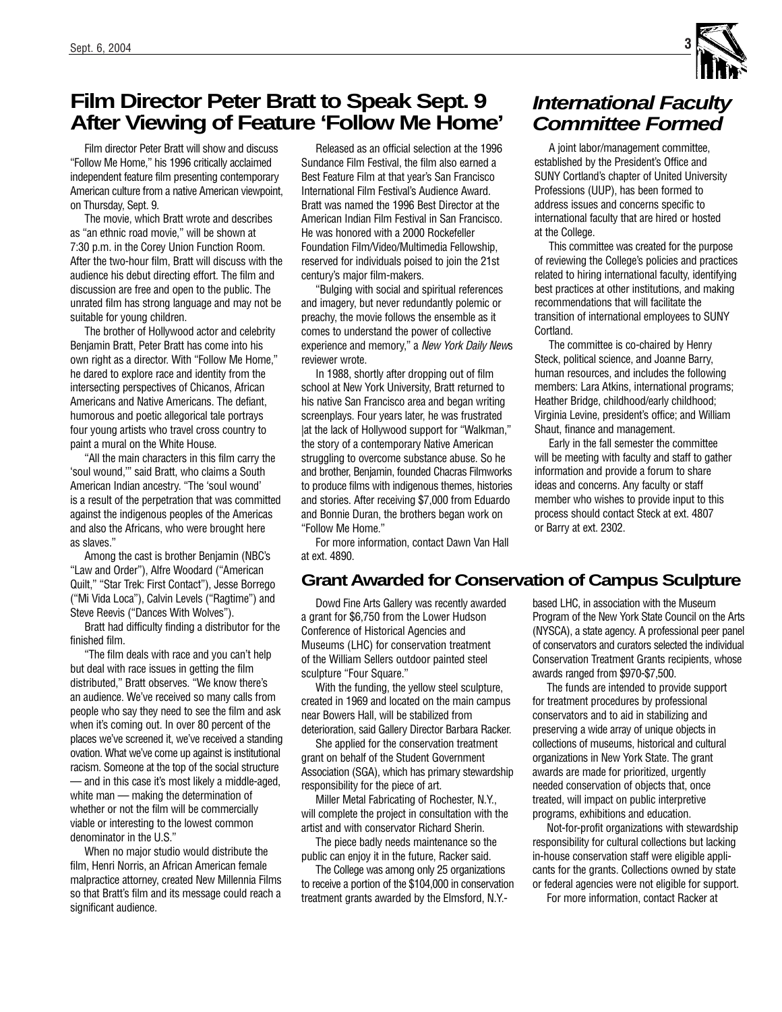# **Film Director Peter Bratt to Speak Sept. 9 After Viewing of Feature 'Follow Me Home'**

Film director Peter Bratt will show and discuss "Follow Me Home," his 1996 critically acclaimed independent feature film presenting contemporary American culture from a native American viewpoint, on Thursday, Sept. 9.

The movie, which Bratt wrote and describes as "an ethnic road movie," will be shown at 7:30 p.m. in the Corey Union Function Room. After the two-hour film, Bratt will discuss with the audience his debut directing effort. The film and discussion are free and open to the public. The unrated film has strong language and may not be suitable for young children.

The brother of Hollywood actor and celebrity Benjamin Bratt, Peter Bratt has come into his own right as a director. With "Follow Me Home," he dared to explore race and identity from the intersecting perspectives of Chicanos, African Americans and Native Americans. The defiant, humorous and poetic allegorical tale portrays four young artists who travel cross country to paint a mural on the White House.

"All the main characters in this film carry the 'soul wound,'" said Bratt, who claims a South American Indian ancestry. "The 'soul wound' is a result of the perpetration that was committed against the indigenous peoples of the Americas and also the Africans, who were brought here as slaves."

Among the cast is brother Benjamin (NBC's "Law and Order"), Alfre Woodard ("American Quilt," "Star Trek: First Contact"), Jesse Borrego ("Mi Vida Loca"), Calvin Levels ("Ragtime") and Steve Reevis ("Dances With Wolves").

Bratt had difficulty finding a distributor for the finished film.

"The film deals with race and you can't help but deal with race issues in getting the film distributed," Bratt observes. "We know there's an audience. We've received so many calls from people who say they need to see the film and ask when it's coming out. In over 80 percent of the places we've screened it, we've received a standing ovation. What we've come up against is institutional racism. Someone at the top of the social structure — and in this case it's most likely a middle-aged, white man — making the determination of whether or not the film will be commercially viable or interesting to the lowest common denominator in the U.S."

When no major studio would distribute the film, Henri Norris, an African American female malpractice attorney, created New Millennia Films so that Bratt's film and its message could reach a significant audience.

Released as an official selection at the 1996 Sundance Film Festival, the film also earned a Best Feature Film at that year's San Francisco International Film Festival's Audience Award. Bratt was named the 1996 Best Director at the American Indian Film Festival in San Francisco. He was honored with a 2000 Rockefeller Foundation Film/Video/Multimedia Fellowship, reserved for individuals poised to join the 21st century's major film-makers.

"Bulging with social and spiritual references and imagery, but never redundantly polemic or preachy, the movie follows the ensemble as it comes to understand the power of collective experience and memory," a New York Daily News reviewer wrote.

In 1988, shortly after dropping out of film school at New York University, Bratt returned to his native San Francisco area and began writing screenplays. Four years later, he was frustrated |at the lack of Hollywood support for "Walkman," the story of a contemporary Native American struggling to overcome substance abuse. So he and brother, Benjamin, founded Chacras Filmworks to produce films with indigenous themes, histories and stories. After receiving \$7,000 from Eduardo and Bonnie Duran, the brothers began work on "Follow Me Home."

For more information, contact Dawn Van Hall at ext. 4890.

#### **Grant Awarded for Conservation of Campus Sculpture**

Dowd Fine Arts Gallery was recently awarded a grant for \$6,750 from the Lower Hudson Conference of Historical Agencies and Museums (LHC) for conservation treatment of the William Sellers outdoor painted steel sculpture "Four Square."

With the funding, the yellow steel sculpture, created in 1969 and located on the main campus near Bowers Hall, will be stabilized from deterioration, said Gallery Director Barbara Racker.

She applied for the conservation treatment grant on behalf of the Student Government Association (SGA), which has primary stewardship responsibility for the piece of art.

Miller Metal Fabricating of Rochester, N.Y., will complete the project in consultation with the artist and with conservator Richard Sherin.

The piece badly needs maintenance so the public can enjoy it in the future, Racker said.

The College was among only 25 organizations to receive a portion of the \$104,000 in conservation treatment grants awarded by the Elmsford, N.Y.-

# **International Faculty Committee Formed**

A joint labor/management committee, established by the President's Office and SUNY Cortland's chapter of United University Professions (UUP), has been formed to address issues and concerns specific to international faculty that are hired or hosted at the College.

This committee was created for the purpose of reviewing the College's policies and practices related to hiring international faculty, identifying best practices at other institutions, and making recommendations that will facilitate the transition of international employees to SUNY Cortland.

The committee is co-chaired by Henry Steck, political science, and Joanne Barry, human resources, and includes the following members: Lara Atkins, international programs; Heather Bridge, childhood/early childhood; Virginia Levine, president's office; and William Shaut, finance and management.

Early in the fall semester the committee will be meeting with faculty and staff to gather information and provide a forum to share ideas and concerns. Any faculty or staff member who wishes to provide input to this process should contact Steck at ext. 4807 or Barry at ext. 2302.

based LHC, in association with the Museum Program of the New York State Council on the Arts (NYSCA), a state agency. A professional peer panel of conservators and curators selected the individual Conservation Treatment Grants recipients, whose awards ranged from \$970-\$7,500.

The funds are intended to provide support for treatment procedures by professional conservators and to aid in stabilizing and preserving a wide array of unique objects in collections of museums, historical and cultural organizations in New York State. The grant awards are made for prioritized, urgently needed conservation of objects that, once treated, will impact on public interpretive programs, exhibitions and education.

Not-for-profit organizations with stewardship responsibility for cultural collections but lacking in-house conservation staff were eligible applicants for the grants. Collections owned by state or federal agencies were not eligible for support.

For more information, contact Racker at

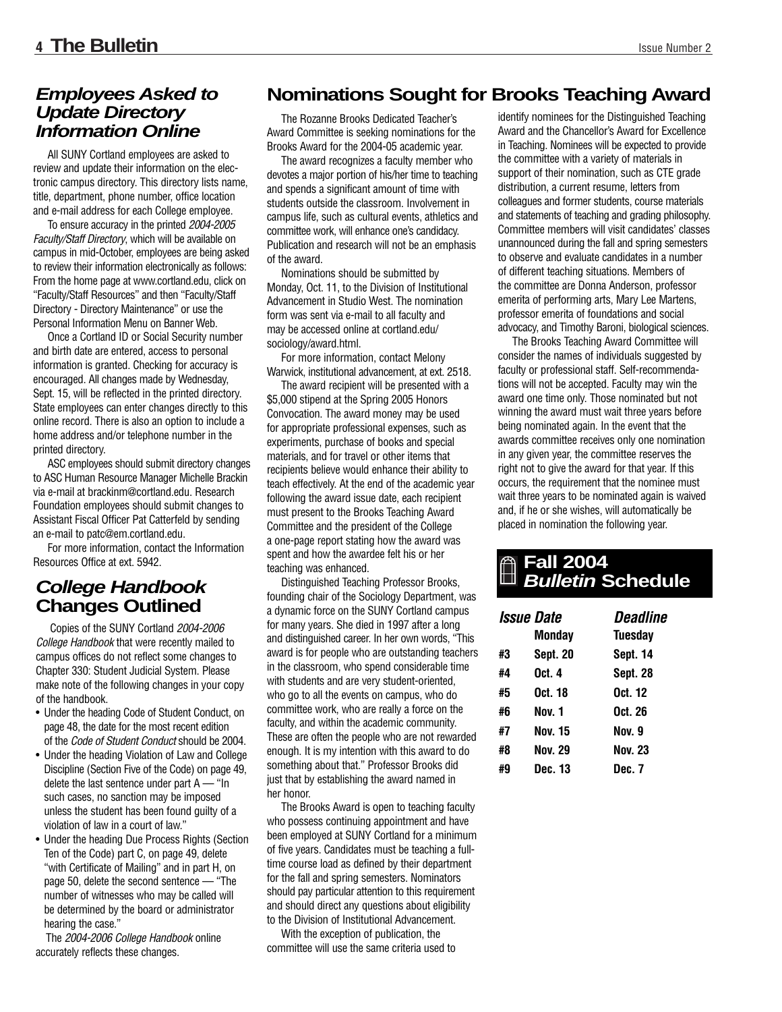### **Employees Asked to Update Directory Information Online**

All SUNY Cortland employees are asked to review and update their information on the electronic campus directory. This directory lists name, title, department, phone number, office location and e-mail address for each College employee.

To ensure accuracy in the printed 2004-2005 Faculty/Staff Directory, which will be available on campus in mid-October, employees are being asked to review their information electronically as follows: From the home page at www.cortland.edu, click on "Faculty/Staff Resources" and then "Faculty/Staff Directory - Directory Maintenance" or use the Personal Information Menu on Banner Web.

Once a Cortland ID or Social Security number and birth date are entered, access to personal information is granted. Checking for accuracy is encouraged. All changes made by Wednesday, Sept. 15, will be reflected in the printed directory. State employees can enter changes directly to this online record. There is also an option to include a home address and/or telephone number in the printed directory.

ASC employees should submit directory changes to ASC Human Resource Manager Michelle Brackin via e-mail at brackinm@cortland.edu. Research Foundation employees should submit changes to Assistant Fiscal Officer Pat Catterfeld by sending an e-mail to patc@em.cortland.edu.

For more information, contact the Information Resources Office at ext. 5942.

## **College Handbook Changes Outlined**

Copies of the SUNY Cortland 2004-2006 College Handbook that were recently mailed to campus offices do not reflect some changes to Chapter 330: Student Judicial System. Please make note of the following changes in your copy of the handbook.

- Under the heading Code of Student Conduct, on page 48, the date for the most recent edition of the Code of Student Conduct should be 2004.
- Under the heading Violation of Law and College Discipline (Section Five of the Code) on page 49, delete the last sentence under part  $A -$  "In such cases, no sanction may be imposed unless the student has been found guilty of a violation of law in a court of law."
- Under the heading Due Process Rights (Section Ten of the Code) part C, on page 49, delete "with Certificate of Mailing" and in part H, on page 50, delete the second sentence — "The number of witnesses who may be called will be determined by the board or administrator hearing the case."

The 2004-2006 College Handbook online accurately reflects these changes.

### **Nominations Sought for Brooks Teaching Award**

The Rozanne Brooks Dedicated Teacher's Award Committee is seeking nominations for the Brooks Award for the 2004-05 academic year.

The award recognizes a faculty member who devotes a major portion of his/her time to teaching and spends a significant amount of time with students outside the classroom. Involvement in campus life, such as cultural events, athletics and committee work, will enhance one's candidacy. Publication and research will not be an emphasis of the award.

Nominations should be submitted by Monday, Oct. 11, to the Division of Institutional Advancement in Studio West. The nomination form was sent via e-mail to all faculty and may be accessed online at cortland.edu/ sociology/award.html.

For more information, contact Melony Warwick, institutional advancement, at ext. 2518.

The award recipient will be presented with a \$5,000 stipend at the Spring 2005 Honors Convocation. The award money may be used for appropriate professional expenses, such as experiments, purchase of books and special materials, and for travel or other items that recipients believe would enhance their ability to teach effectively. At the end of the academic year following the award issue date, each recipient must present to the Brooks Teaching Award Committee and the president of the College a one-page report stating how the award was spent and how the awardee felt his or her teaching was enhanced.

Distinguished Teaching Professor Brooks, founding chair of the Sociology Department, was a dynamic force on the SUNY Cortland campus for many years. She died in 1997 after a long and distinguished career. In her own words, "This award is for people who are outstanding teachers in the classroom, who spend considerable time with students and are very student-oriented, who go to all the events on campus, who do committee work, who are really a force on the faculty, and within the academic community. These are often the people who are not rewarded enough. It is my intention with this award to do something about that." Professor Brooks did just that by establishing the award named in her honor.

The Brooks Award is open to teaching faculty who possess continuing appointment and have been employed at SUNY Cortland for a minimum of five years. Candidates must be teaching a fulltime course load as defined by their department for the fall and spring semesters. Nominators should pay particular attention to this requirement and should direct any questions about eligibility to the Division of Institutional Advancement.

With the exception of publication, the committee will use the same criteria used to identify nominees for the Distinguished Teaching Award and the Chancellor's Award for Excellence in Teaching. Nominees will be expected to provide the committee with a variety of materials in support of their nomination, such as CTE grade distribution, a current resume, letters from colleagues and former students, course materials and statements of teaching and grading philosophy. Committee members will visit candidates' classes unannounced during the fall and spring semesters to observe and evaluate candidates in a number of different teaching situations. Members of the committee are Donna Anderson, professor emerita of performing arts, Mary Lee Martens, professor emerita of foundations and social advocacy, and Timothy Baroni, biological sciences.

The Brooks Teaching Award Committee will consider the names of individuals suggested by faculty or professional staff. Self-recommendations will not be accepted. Faculty may win the award one time only. Those nominated but not winning the award must wait three years before being nominated again. In the event that the awards committee receives only one nomination in any given year, the committee reserves the right not to give the award for that year. If this occurs, the requirement that the nominee must wait three years to be nominated again is waived and, if he or she wishes, will automatically be placed in nomination the following year.

#### **Fall 2004 Bulletin Schedule**

| <i><b>Issue Date</b></i> | Monday          | <i><b>Deadline</b></i><br>Tuesday |
|--------------------------|-----------------|-----------------------------------|
| #3                       | <b>Sept. 20</b> | Sept. 14                          |
| #4                       | Oct. 4          | Sept. 28                          |
| #5                       | Oct. 18         | Oct. 12                           |
| #6                       | Nov. 1          | Oct. 26                           |
| #7                       | <b>Nov. 15</b>  | Nov. 9                            |
| #8                       | <b>Nov. 29</b>  | <b>Nov. 23</b>                    |
| #9                       | Dec. 13         | Dec. 7                            |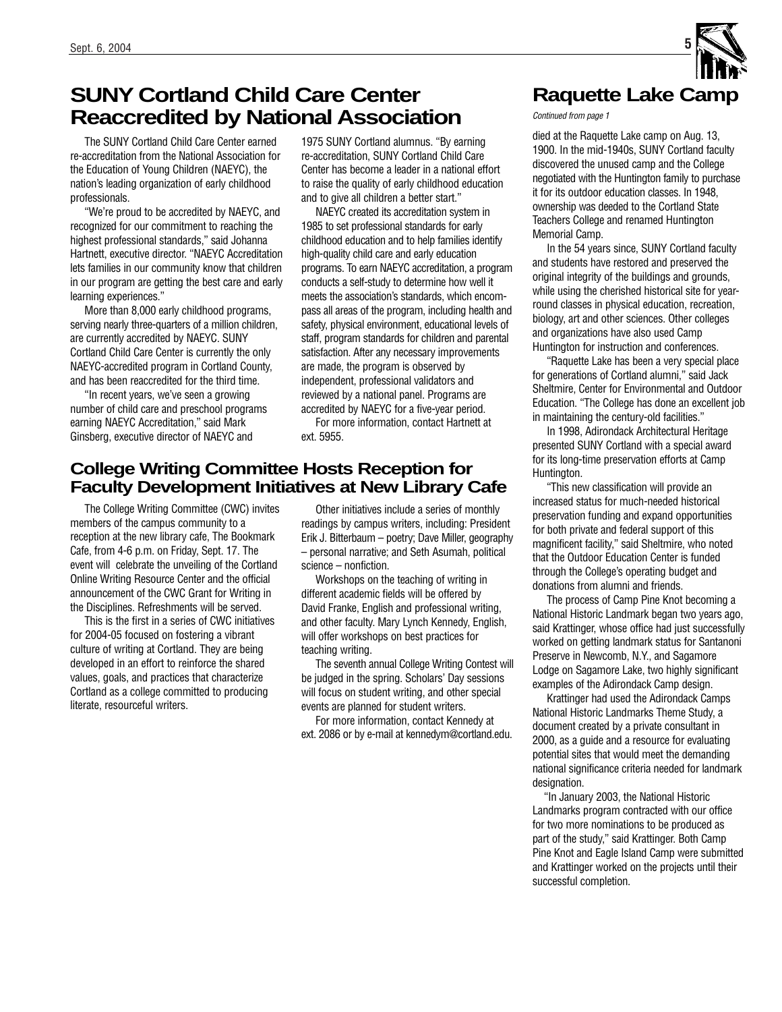# **SUNY Cortland Child Care Center Reaccredited by National Association**

The SUNY Cortland Child Care Center earned re-accreditation from the National Association for the Education of Young Children (NAEYC), the nation's leading organization of early childhood professionals.

"We're proud to be accredited by NAEYC, and recognized for our commitment to reaching the highest professional standards," said Johanna Hartnett, executive director. "NAEYC Accreditation lets families in our community know that children in our program are getting the best care and early learning experiences."

More than 8,000 early childhood programs, serving nearly three-quarters of a million children, are currently accredited by NAEYC. SUNY Cortland Child Care Center is currently the only NAEYC-accredited program in Cortland County, and has been reaccredited for the third time.

"In recent years, we've seen a growing number of child care and preschool programs earning NAEYC Accreditation," said Mark Ginsberg, executive director of NAEYC and

1975 SUNY Cortland alumnus. "By earning re-accreditation, SUNY Cortland Child Care Center has become a leader in a national effort to raise the quality of early childhood education and to give all children a better start."

NAEYC created its accreditation system in 1985 to set professional standards for early childhood education and to help families identify high-quality child care and early education programs. To earn NAEYC accreditation, a program conducts a self-study to determine how well it meets the association's standards, which encompass all areas of the program, including health and safety, physical environment, educational levels of staff, program standards for children and parental satisfaction. After any necessary improvements are made, the program is observed by independent, professional validators and reviewed by a national panel. Programs are accredited by NAEYC for a five-year period. For more information, contact Hartnett at

ext. 5955.

#### **College Writing Committee Hosts Reception for Faculty Development Initiatives at New Library Cafe**

The College Writing Committee (CWC) invites members of the campus community to a reception at the new library cafe, The Bookmark Cafe, from 4-6 p.m. on Friday, Sept. 17. The event will celebrate the unveiling of the Cortland Online Writing Resource Center and the official announcement of the CWC Grant for Writing in the Disciplines. Refreshments will be served.

This is the first in a series of CWC initiatives for 2004-05 focused on fostering a vibrant culture of writing at Cortland. They are being developed in an effort to reinforce the shared values, goals, and practices that characterize Cortland as a college committed to producing literate, resourceful writers.

Other initiatives include a series of monthly readings by campus writers, including: President Erik J. Bitterbaum – poetry; Dave Miller, geography – personal narrative; and Seth Asumah, political science – nonfiction.

Workshops on the teaching of writing in different academic fields will be offered by David Franke, English and professional writing, and other faculty. Mary Lynch Kennedy, English, will offer workshops on best practices for teaching writing.

The seventh annual College Writing Contest will be judged in the spring. Scholars' Day sessions will focus on student writing, and other special events are planned for student writers.

For more information, contact Kennedy at ext. 2086 or by e-mail at kennedym@cortland.edu.

# **Raquette Lake Camp**

Continued from page 1

died at the Raquette Lake camp on Aug. 13, 1900. In the mid-1940s, SUNY Cortland faculty discovered the unused camp and the College negotiated with the Huntington family to purchase it for its outdoor education classes. In 1948, ownership was deeded to the Cortland State Teachers College and renamed Huntington Memorial Camp.

In the 54 years since, SUNY Cortland faculty and students have restored and preserved the original integrity of the buildings and grounds, while using the cherished historical site for yearround classes in physical education, recreation, biology, art and other sciences. Other colleges and organizations have also used Camp Huntington for instruction and conferences.

"Raquette Lake has been a very special place for generations of Cortland alumni," said Jack Sheltmire, Center for Environmental and Outdoor Education. "The College has done an excellent job in maintaining the century-old facilities."

In 1998, Adirondack Architectural Heritage presented SUNY Cortland with a special award for its long-time preservation efforts at Camp Huntington.

"This new classification will provide an increased status for much-needed historical preservation funding and expand opportunities for both private and federal support of this magnificent facility," said Sheltmire, who noted that the Outdoor Education Center is funded through the College's operating budget and donations from alumni and friends.

The process of Camp Pine Knot becoming a National Historic Landmark began two years ago, said Krattinger, whose office had just successfully worked on getting landmark status for Santanoni Preserve in Newcomb, N.Y., and Sagamore Lodge on Sagamore Lake, two highly significant examples of the Adirondack Camp design.

Krattinger had used the Adirondack Camps National Historic Landmarks Theme Study, a document created by a private consultant in 2000, as a guide and a resource for evaluating potential sites that would meet the demanding national significance criteria needed for landmark designation.

"In January 2003, the National Historic Landmarks program contracted with our office for two more nominations to be produced as part of the study," said Krattinger. Both Camp Pine Knot and Eagle Island Camp were submitted and Krattinger worked on the projects until their successful completion.

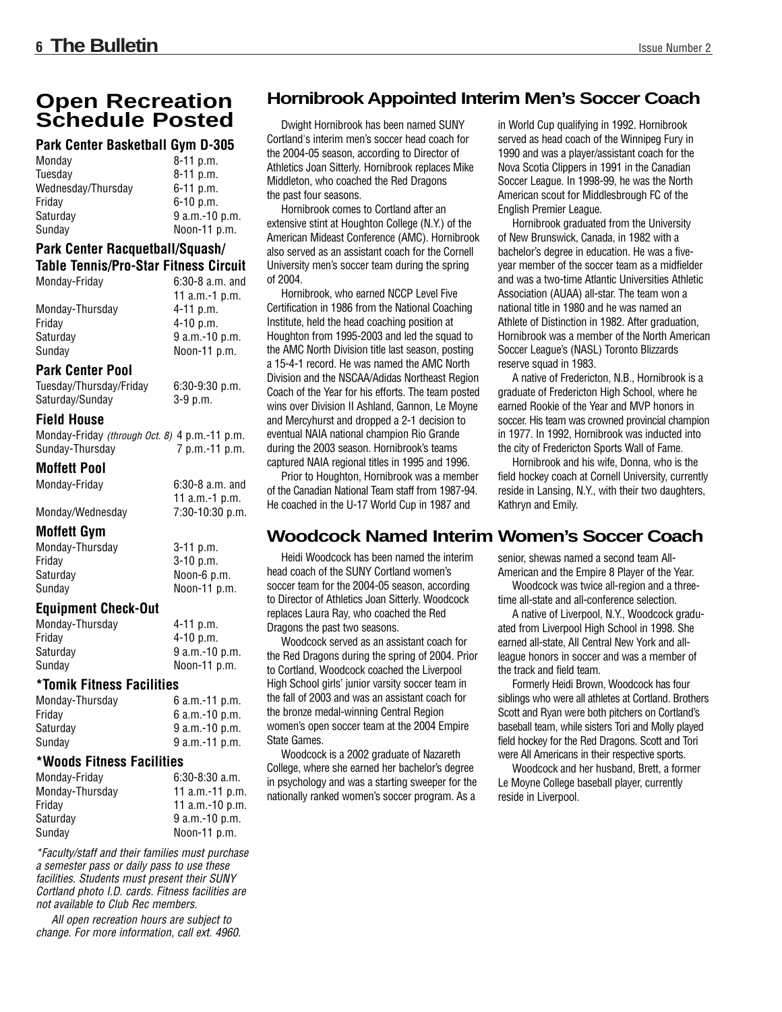## **Open Recreation Schedule Posted**

#### **Park Center Basketball Gym D-305**

| Monday             | $8-11$ p.m.    |
|--------------------|----------------|
| Tuesdav            | $8-11$ p.m.    |
| Wednesday/Thursday | $6-11$ p.m.    |
| Friday             | $6-10$ p.m.    |
| Saturday           | 9 a.m.-10 p.m. |
| Sunday             | Noon-11 p.m.   |
|                    |                |

#### **Park Center Racquetball/Squash/ Table Tennis/Pro-Star Fitness Circuit**

| Monday-Friday   | $6:30-8$ a.m. and |
|-----------------|-------------------|
|                 | 11 a.m.-1 p.m.    |
| Monday-Thursday | $4 - 11$ p.m.     |
| Fridav          | $4 - 10$ p.m.     |
| Saturdav        | $9 a.m.-10 p.m.$  |
| Sunday          | Noon-11 p.m.      |

#### **Park Center Pool**

Tuesday/Thursday/Friday 6:30-9:30 p.m. Saturday/Sunday 3-9 p.m.

#### **Field House**

Monday-Friday (through Oct. 8) 4 p.m.-11 p.m. Sunday-Thursday 7 p.m.-11 p.m.

#### **Moffett Pool**

Monday-Friday 6:30-8 a.m. and

| 11 $a.m.-1 p.m.$ |  |
|------------------|--|
| 7:30-10:30 p.m.  |  |

#### **Moffett Gym**

Monday/Wednesday

| $3-11$ p.m.  |
|--------------|
| $3-10$ p.m.  |
| Noon-6 p.m.  |
| Noon-11 p.m. |
|              |

#### **Equipment Check-Out**

| Monday-Thursday | $4 - 11$ p.m.    |
|-----------------|------------------|
| Fridav          | $4-10$ p.m.      |
| Saturdav        | $9$ a.m.-10 p.m. |
| Sundav          | Noon-11 $p.m$ .  |
|                 |                  |

#### **\*Tomik Fitness Facilities**

| Monday-Thursday | 6 a.m.-11 p.m.   |
|-----------------|------------------|
| Fridav          | 6 $a.m.-10 p.m.$ |
| Saturdav        | $9 a.m.-10 p.m.$ |
| Sundav          | $9 a.m.-11 p.m.$ |

#### **\*Woods Fitness Facilities**

| Monday-Friday   | $6:30-8:30$ a.m.  |
|-----------------|-------------------|
| Monday-Thursday | 11 $a.m.-11 p.m.$ |
| Fridav          | 11 $a.m.-10 p.m.$ |
| Saturdav        | 9 a.m.-10 p.m.    |
| Sundav          | Noon-11 p.m.      |

\*Faculty/staff and their families must purchase a semester pass or daily pass to use these facilities. Students must present their SUNY Cortland photo I.D. cards. Fitness facilities are not available to Club Rec members.

All open recreation hours are subject to change. For more information, call ext. 4960.

### **Hornibrook Appointed Interim Men's Soccer Coach**

Dwight Hornibrook has been named SUNY Cortland's interim men's soccer head coach for the 2004-05 season, according to Director of Athletics Joan Sitterly. Hornibrook replaces Mike Middleton, who coached the Red Dragons the past four seasons.

Hornibrook comes to Cortland after an extensive stint at Houghton College (N.Y.) of the American Mideast Conference (AMC). Hornibrook also served as an assistant coach for the Cornell University men's soccer team during the spring of 2004.

Hornibrook, who earned NCCP Level Five Certification in 1986 from the National Coaching Institute, held the head coaching position at Houghton from 1995-2003 and led the squad to the AMC North Division title last season, posting a 15-4-1 record. He was named the AMC North Division and the NSCAA/Adidas Northeast Region Coach of the Year for his efforts. The team posted wins over Division II Ashland, Gannon, Le Moyne and Mercyhurst and dropped a 2-1 decision to eventual NAIA national champion Rio Grande during the 2003 season. Hornibrook's teams captured NAIA regional titles in 1995 and 1996.

Prior to Houghton, Hornibrook was a member of the Canadian National Team staff from 1987-94. He coached in the U-17 World Cup in 1987 and

# **Woodcock Named Interim Women's Soccer Coach**

Heidi Woodcock has been named the interim head coach of the SUNY Cortland women's soccer team for the 2004-05 season, according to Director of Athletics Joan Sitterly. Woodcock replaces Laura Ray, who coached the Red Dragons the past two seasons.

Woodcock served as an assistant coach for the Red Dragons during the spring of 2004. Prior to Cortland, Woodcock coached the Liverpool High School girls' junior varsity soccer team in the fall of 2003 and was an assistant coach for the bronze medal-winning Central Region women's open soccer team at the 2004 Empire State Games.

Woodcock is a 2002 graduate of Nazareth College, where she earned her bachelor's degree in psychology and was a starting sweeper for the nationally ranked women's soccer program. As a

senior, shewas named a second team All-American and the Empire 8 Player of the Year.

in World Cup qualifying in 1992. Hornibrook served as head coach of the Winnipeg Fury in 1990 and was a player/assistant coach for the Nova Scotia Clippers in 1991 in the Canadian Soccer League. In 1998-99, he was the North American scout for Middlesbrough FC of the

Hornibrook graduated from the University of New Brunswick, Canada, in 1982 with a bachelor's degree in education. He was a fiveyear member of the soccer team as a midfielder and was a two-time Atlantic Universities Athletic Association (AUAA) all-star. The team won a national title in 1980 and he was named an Athlete of Distinction in 1982. After graduation, Hornibrook was a member of the North American Soccer League's (NASL) Toronto Blizzards

A native of Fredericton, N.B., Hornibrook is a graduate of Fredericton High School, where he earned Rookie of the Year and MVP honors in soccer. His team was crowned provincial champion in 1977. In 1992, Hornibrook was inducted into the city of Fredericton Sports Wall of Fame. Hornibrook and his wife, Donna, who is the field hockey coach at Cornell University, currently reside in Lansing, N.Y., with their two daughters,

English Premier League.

reserve squad in 1983.

Kathryn and Emily.

Woodcock was twice all-region and a threetime all-state and all-conference selection.

A native of Liverpool, N.Y., Woodcock graduated from Liverpool High School in 1998. She earned all-state, All Central New York and allleague honors in soccer and was a member of the track and field team.

Formerly Heidi Brown, Woodcock has four siblings who were all athletes at Cortland. Brothers Scott and Ryan were both pitchers on Cortland's baseball team, while sisters Tori and Molly played field hockey for the Red Dragons. Scott and Tori were All Americans in their respective sports.

Woodcock and her husband, Brett, a former Le Moyne College baseball player, currently reside in Liverpool.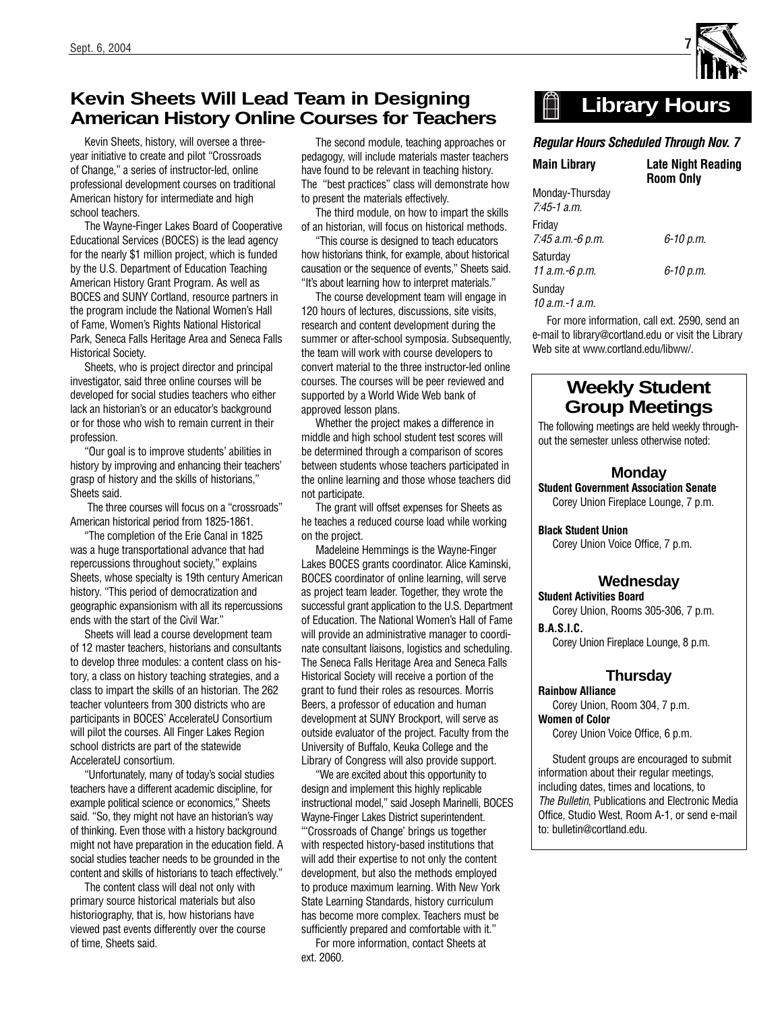### **Kevin Sheets Will Lead Team in Designing American History Online Courses for Teachers**

Kevin Sheets, history, will oversee a threeyear initiative to create and pilot "Crossroads of Change," a series of instructor-led, online professional development courses on traditional American history for intermediate and high school teachers.

The Wayne-Finger Lakes Board of Cooperative Educational Services (BOCES) is the lead agency for the nearly \$1 million project, which is funded by the U.S. Department of Education Teaching American History Grant Program. As well as BOCES and SUNY Cortland, resource partners in the program include the National Women's Hall of Fame, Women's Rights National Historical Park, Seneca Falls Heritage Area and Seneca Falls Historical Society.

Sheets, who is project director and principal investigator, said three online courses will be developed for social studies teachers who either lack an historian's or an educator's background or for those who wish to remain current in their profession.

"Our goal is to improve students' abilities in history by improving and enhancing their teachers' grasp of history and the skills of historians," Sheets said.

The three courses will focus on a "crossroads" American historical period from 1825-1861.

"The completion of the Erie Canal in 1825 was a huge transportational advance that had repercussions throughout society," explains Sheets, whose specialty is 19th century American history. "This period of democratization and geographic expansionism with all its repercussions ends with the start of the Civil War."

Sheets will lead a course development team of 12 master teachers, historians and consultants to develop three modules: a content class on history, a class on history teaching strategies, and a class to impart the skills of an historian. The 262 teacher volunteers from 300 districts who are participants in BOCES' AccelerateU Consortium will pilot the courses. All Finger Lakes Region school districts are part of the statewide AccelerateU consortium.

"Unfortunately, many of today's social studies teachers have a different academic discipline, for example political science or economics," Sheets said. "So, they might not have an historian's way of thinking. Even those with a history background might not have preparation in the education field. A social studies teacher needs to be grounded in the content and skills of historians to teach effectively."

The content class will deal not only with primary source historical materials but also historiography, that is, how historians have viewed past events differently over the course of time, Sheets said.

The second module, teaching approaches or pedagogy, will include materials master teachers have found to be relevant in teaching history. The "best practices" class will demonstrate how to present the materials effectively.

The third module, on how to impart the skills of an historian, will focus on historical methods.

"This course is designed to teach educators how historians think, for example, about historical causation or the sequence of events," Sheets said. "It's about learning how to interpret materials."

The course development team will engage in 120 hours of lectures, discussions, site visits, research and content development during the summer or after-school symposia. Subsequently, the team will work with course developers to convert material to the three instructor-led online courses. The courses will be peer reviewed and supported by a World Wide Web bank of approved lesson plans.

Whether the project makes a difference in middle and high school student test scores will be determined through a comparison of scores between students whose teachers participated in the online learning and those whose teachers did not participate.

The grant will offset expenses for Sheets as he teaches a reduced course load while working on the project.

Madeleine Hemmings is the Wayne-Finger Lakes BOCES grants coordinator. Alice Kaminski, BOCES coordinator of online learning, will serve as project team leader. Together, they wrote the successful grant application to the U.S. Department of Education. The National Women's Hall of Fame will provide an administrative manager to coordinate consultant liaisons, logistics and scheduling. The Seneca Falls Heritage Area and Seneca Falls Historical Society will receive a portion of the grant to fund their roles as resources. Morris Beers, a professor of education and human development at SUNY Brockport, will serve as outside evaluator of the project. Faculty from the University of Buffalo, Keuka College and the Library of Congress will also provide support.

"We are excited about this opportunity to design and implement this highly replicable instructional model," said Joseph Marinelli, BOCES Wayne-Finger Lakes District superintendent. "'Crossroads of Change' brings us together with respected history-based institutions that will add their expertise to not only the content development, but also the methods employed to produce maximum learning. With New York State Learning Standards, history curriculum has become more complex. Teachers must be sufficiently prepared and comfortable with it."

For more information, contact Sheets at ext. 2060.

#### $\mathbb{H}$ **Library Hours**

#### *Regular Hours Scheduled Through Nov. 7*

| <b>Main Library</b>                | Late Night Reading<br><b>Room Only</b> |
|------------------------------------|----------------------------------------|
| Monday-Thursday<br>$7.45 - 1$ a.m. |                                        |
| Friday<br>7:45 а.т.-6 р.т.         | 6-10 p.m.                              |
| Saturday<br>11 а.т.-6 <i>p.</i> т. | 6-10 p.m.                              |
| Sunday<br>$10$ a.m.-1 a.m.         |                                        |

For more information, call ext. 2590, send an e-mail to library@cortland.edu or visit the Library Web site at www.cortland.edu/libww/

### **Weekly Student Group Meetings**

The following meetings are held weekly throughout the semester unless otherwise noted:

#### **Monday**

**Student Government Association Senate** Corey Union Fireplace Lounge, 7 p.m.

**Black Student Union**

Corey Union Voice Office, 7 p.m.

#### **Wednesday**

**Student Activities Board** Corey Union, Rooms 305-306, 7 p.m. **B.A.S.I.C.** 

Corey Union Fireplace Lounge, 8 p.m.

#### **Thursday**

**Rainbow Alliance** Corey Union, Room 304, 7 p.m. **Women of Color** 

Corey Union Voice Office, 6 p.m.

Student groups are encouraged to submit information about their regular meetings, including dates, times and locations, to The Bulletin, Publications and Electronic Media Office, Studio West, Room A-1, or send e-mail to: bulletin@cortland.edu.

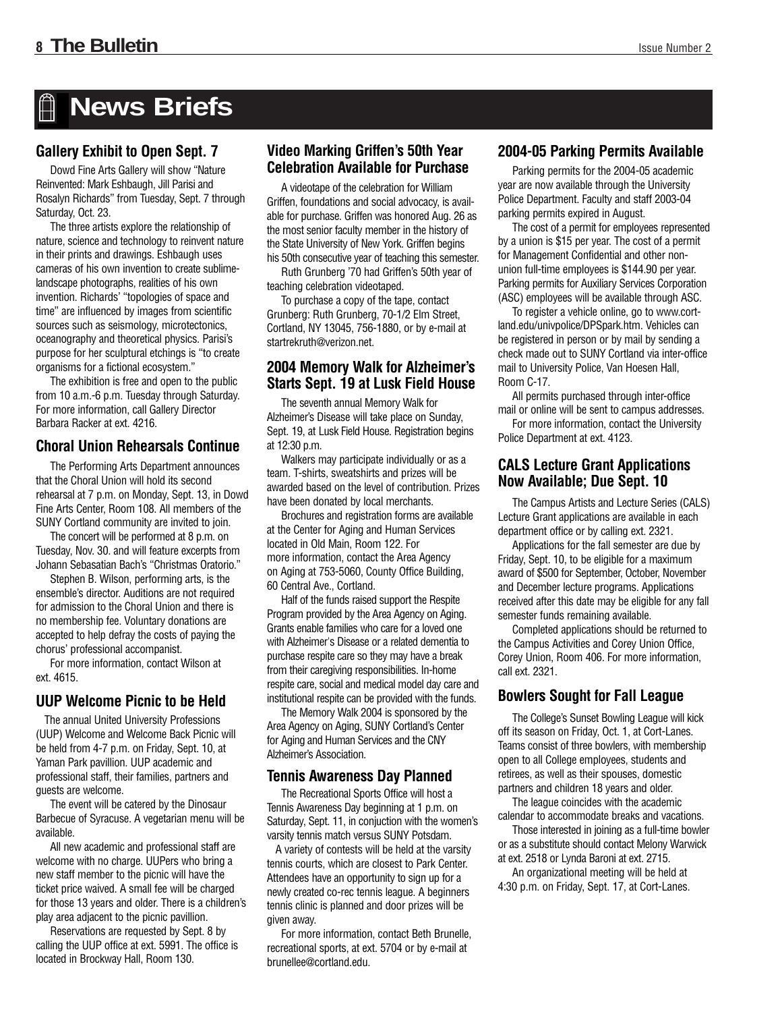# **News Briefs**

#### **Gallery Exhibit to Open Sept. 7**

Dowd Fine Arts Gallery will show "Nature Reinvented: Mark Eshbaugh, Jill Parisi and Rosalyn Richards" from Tuesday, Sept. 7 through Saturday, Oct. 23.

The three artists explore the relationship of nature, science and technology to reinvent nature in their prints and drawings. Eshbaugh uses cameras of his own invention to create sublimelandscape photographs, realities of his own invention. Richards' "topologies of space and time" are influenced by images from scientific sources such as seismology, microtectonics, oceanography and theoretical physics. Parisi's purpose for her sculptural etchings is "to create organisms for a fictional ecosystem."

The exhibition is free and open to the public from 10 a.m.-6 p.m. Tuesday through Saturday. For more information, call Gallery Director Barbara Racker at ext. 4216.

#### **Choral Union Rehearsals Continue**

The Performing Arts Department announces that the Choral Union will hold its second rehearsal at 7 p.m. on Monday, Sept. 13, in Dowd Fine Arts Center, Room 108. All members of the SUNY Cortland community are invited to join.

The concert will be performed at 8 p.m. on Tuesday, Nov. 30. and will feature excerpts from Johann Sebasatian Bach's "Christmas Oratorio."

Stephen B. Wilson, performing arts, is the ensemble's director. Auditions are not required for admission to the Choral Union and there is no membership fee. Voluntary donations are accepted to help defray the costs of paying the chorus' professional accompanist.

For more information, contact Wilson at ext. 4615.

#### **UUP Welcome Picnic to be Held**

The annual United University Professions (UUP) Welcome and Welcome Back Picnic will be held from 4-7 p.m. on Friday, Sept. 10, at Yaman Park pavillion. UUP academic and professional staff, their families, partners and guests are welcome.

The event will be catered by the Dinosaur Barbecue of Syracuse. A vegetarian menu will be available.

All new academic and professional staff are welcome with no charge. UUPers who bring a new staff member to the picnic will have the ticket price waived. A small fee will be charged for those 13 years and older. There is a children's play area adjacent to the picnic pavillion.

Reservations are requested by Sept. 8 by calling the UUP office at ext. 5991. The office is located in Brockway Hall, Room 130.

#### **Video Marking Griffen's 50th Year Celebration Available for Purchase**

A videotape of the celebration for William Griffen, foundations and social advocacy, is available for purchase. Griffen was honored Aug. 26 as the most senior faculty member in the history of the State University of New York. Griffen begins his 50th consecutive year of teaching this semester.

Ruth Grunberg '70 had Griffen's 50th year of teaching celebration videotaped.

To purchase a copy of the tape, contact Grunberg: Ruth Grunberg, 70-1/2 Elm Street, Cortland, NY 13045, 756-1880, or by e-mail at startrekruth@verizon.net.

#### **2004 Memory Walk for Alzheimer's Starts Sept. 19 at Lusk Field House**

The seventh annual Memory Walk for Alzheimer's Disease will take place on Sunday, Sept. 19, at Lusk Field House. Registration begins at 12:30 p.m.

Walkers may participate individually or as a team. T-shirts, sweatshirts and prizes will be awarded based on the level of contribution. Prizes have been donated by local merchants.

Brochures and registration forms are available at the Center for Aging and Human Services located in Old Main, Room 122. For more information, contact the Area Agency on Aging at 753-5060, County Office Building, 60 Central Ave., Cortland.

Half of the funds raised support the Respite Program provided by the Area Agency on Aging. Grants enable families who care for a loved one with Alzheimer's Disease or a related dementia to purchase respite care so they may have a break from their caregiving responsibilities. In-home respite care, social and medical model day care and institutional respite can be provided with the funds.

The Memory Walk 2004 is sponsored by the Area Agency on Aging, SUNY Cortland's Center for Aging and Human Services and the CNY Alzheimer's Association.

#### **Tennis Awareness Day Planned**

The Recreational Sports Office will host a Tennis Awareness Day beginning at 1 p.m. on Saturday, Sept. 11, in conjuction with the women's varsity tennis match versus SUNY Potsdam.

A variety of contests will be held at the varsity tennis courts, which are closest to Park Center. Attendees have an opportunity to sign up for a newly created co-rec tennis league. A beginners tennis clinic is planned and door prizes will be given away.

For more information, contact Beth Brunelle, recreational sports, at ext. 5704 or by e-mail at brunellee@cortland.edu.

#### **2004-05 Parking Permits Available**

Parking permits for the 2004-05 academic year are now available through the University Police Department. Faculty and staff 2003-04 parking permits expired in August.

The cost of a permit for employees represented by a union is \$15 per year. The cost of a permit for Management Confidential and other nonunion full-time employees is \$144.90 per year. Parking permits for Auxiliary Services Corporation (ASC) employees will be available through ASC.

To register a vehicle online, go to www.cortland.edu/univpolice/DPSpark.htm. Vehicles can be registered in person or by mail by sending a check made out to SUNY Cortland via inter-office mail to University Police, Van Hoesen Hall, Room C-17.

All permits purchased through inter-office mail or online will be sent to campus addresses.

For more information, contact the University Police Department at ext. 4123.

#### **CALS Lecture Grant Applications Now Available; Due Sept. 10**

The Campus Artists and Lecture Series (CALS) Lecture Grant applications are available in each department office or by calling ext. 2321.

Applications for the fall semester are due by Friday, Sept. 10, to be eligible for a maximum award of \$500 for September, October, November and December lecture programs. Applications received after this date may be eligible for any fall semester funds remaining available.

Completed applications should be returned to the Campus Activities and Corey Union Office, Corey Union, Room 406. For more information, call ext. 2321.

#### **Bowlers Sought for Fall League**

The College's Sunset Bowling League will kick off its season on Friday, Oct. 1, at Cort-Lanes. Teams consist of three bowlers, with membership open to all College employees, students and retirees, as well as their spouses, domestic partners and children 18 years and older.

The league coincides with the academic calendar to accommodate breaks and vacations.

Those interested in joining as a full-time bowler or as a substitute should contact Melony Warwick at ext. 2518 or Lynda Baroni at ext. 2715.

An organizational meeting will be held at 4:30 p.m. on Friday, Sept. 17, at Cort-Lanes.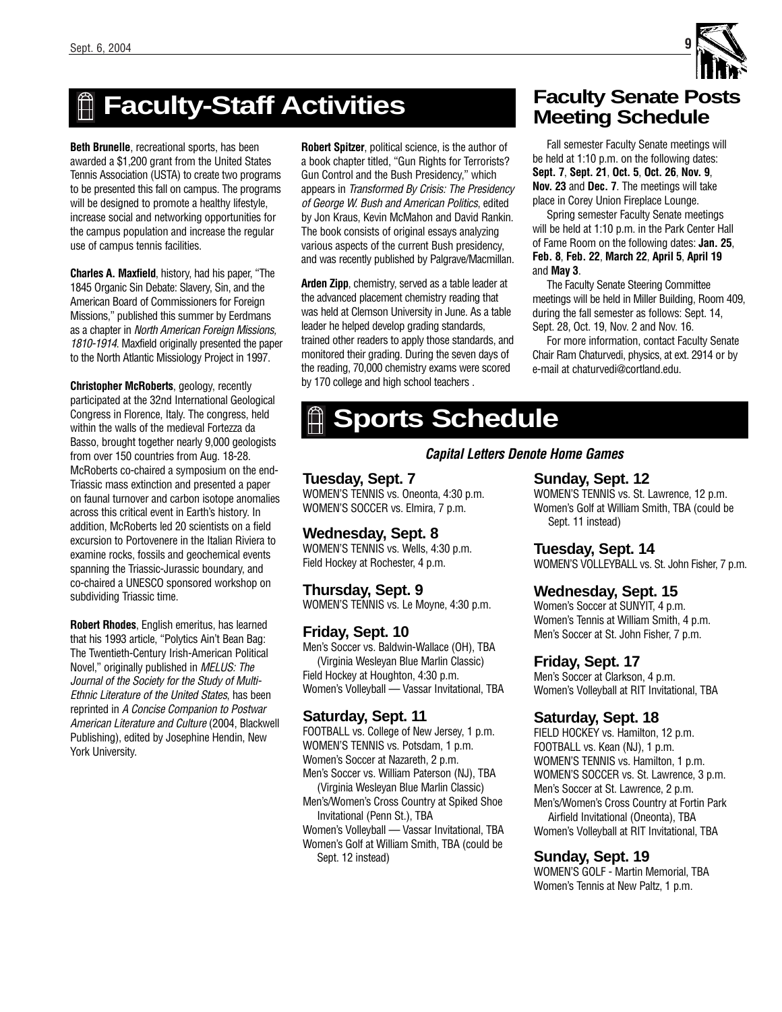

# **Faculty-Staff Activities**

**Beth Brunelle**, recreational sports, has been awarded a \$1,200 grant from the United States Tennis Association (USTA) to create two programs to be presented this fall on campus. The programs will be designed to promote a healthy lifestyle, increase social and networking opportunities for the campus population and increase the regular use of campus tennis facilities.

**Charles A. Maxfield**, history, had his paper, "The 1845 Organic Sin Debate: Slavery, Sin, and the American Board of Commissioners for Foreign Missions," published this summer by Eerdmans as a chapter in North American Foreign Missions, 1810-1914. Maxfield originally presented the paper to the North Atlantic Missiology Project in 1997.

**Christopher McRoberts**, geology, recently participated at the 32nd International Geological Congress in Florence, Italy. The congress, held within the walls of the medieval Fortezza da Basso, brought together nearly 9,000 geologists from over 150 countries from Aug. 18-28. McRoberts co-chaired a symposium on the end-Triassic mass extinction and presented a paper on faunal turnover and carbon isotope anomalies across this critical event in Earth's history. In addition, McRoberts led 20 scientists on a field excursion to Portovenere in the Italian Riviera to examine rocks, fossils and geochemical events spanning the Triassic-Jurassic boundary, and co-chaired a UNESCO sponsored workshop on subdividing Triassic time.

**Robert Rhodes**, English emeritus, has learned that his 1993 article, "Polytics Ain't Bean Bag: The Twentieth-Century Irish-American Political Novel," originally published in MELUS: The Journal of the Society for the Study of Multi-Ethnic Literature of the United States, has been reprinted in A Concise Companion to Postwar American Literature and Culture (2004, Blackwell Publishing), edited by Josephine Hendin, New York University.

**Robert Spitzer**, political science, is the author of a book chapter titled, "Gun Rights for Terrorists? Gun Control and the Bush Presidency," which appears in Transformed By Crisis: The Presidency of George W. Bush and American Politics, edited by Jon Kraus, Kevin McMahon and David Rankin. The book consists of original essays analyzing various aspects of the current Bush presidency, and was recently published by Palgrave/Macmillan.

**Arden Zipp**, chemistry, served as a table leader at the advanced placement chemistry reading that was held at Clemson University in June. As a table leader he helped develop grading standards, trained other readers to apply those standards, and monitored their grading. During the seven days of the reading, 70,000 chemistry exams were scored by 170 college and high school teachers .

# **Faculty Senate Posts Meeting Schedule**

Fall semester Faculty Senate meetings will be held at 1:10 p.m. on the following dates: **Sept. 7**, **Sept. 21**, **Oct. 5**, **Oct. 26**, **Nov. 9**, **Nov. 23** and **Dec. 7**. The meetings will take place in Corey Union Fireplace Lounge.

Spring semester Faculty Senate meetings will be held at 1:10 p.m. in the Park Center Hall of Fame Room on the following dates: **Jan. 25**, **Feb. 8**, **Feb. 22**, **March 22**, **April 5**, **April 19** and **May 3**.

The Faculty Senate Steering Committee meetings will be held in Miller Building, Room 409, during the fall semester as follows: Sept. 14, Sept. 28, Oct. 19, Nov. 2 and Nov. 16.

For more information, contact Faculty Senate Chair Ram Chaturvedi, physics, at ext. 2914 or by e-mail at chaturvedi@cortland.edu.

# **Sports Schedule**

#### *Capital Letters Denote Home Games*

#### **Tuesday, Sept. 7**

WOMEN'S TENNIS vs. Oneonta, 4:30 p.m. WOMEN'S SOCCER vs. Elmira, 7 p.m.

#### **Wednesday, Sept. 8**

WOMEN'S TENNIS vs. Wells, 4:30 p.m. Field Hockey at Rochester, 4 p.m.

**Thursday, Sept. 9** WOMEN'S TENNIS vs. Le Moyne, 4:30 p.m.

#### **Friday, Sept. 10**

Men's Soccer vs. Baldwin-Wallace (OH), TBA (Virginia Wesleyan Blue Marlin Classic) Field Hockey at Houghton, 4:30 p.m. Women's Volleyball — Vassar Invitational, TBA

#### **Saturday, Sept. 11**

FOOTBALL vs. College of New Jersey, 1 p.m. WOMEN'S TENNIS vs. Potsdam, 1 p.m. Women's Soccer at Nazareth, 2 p.m. Men's Soccer vs. William Paterson (NJ), TBA

(Virginia Wesleyan Blue Marlin Classic) Men's/Women's Cross Country at Spiked Shoe Invitational (Penn St.), TBA

Women's Volleyball — Vassar Invitational, TBA Women's Golf at William Smith, TBA (could be Sept. 12 instead)

#### **Sunday, Sept. 12**

WOMEN'S TENNIS vs. St. Lawrence, 12 p.m. Women's Golf at William Smith, TBA (could be Sept. 11 instead)

#### **Tuesday, Sept. 14**

WOMEN'S VOLLEYBALL vs. St. John Fisher, 7 p.m.

#### **Wednesday, Sept. 15**

Women's Soccer at SUNYIT, 4 p.m. Women's Tennis at William Smith, 4 p.m. Men's Soccer at St. John Fisher, 7 p.m.

#### **Friday, Sept. 17**

Men's Soccer at Clarkson, 4 p.m. Women's Volleyball at RIT Invitational, TBA

#### **Saturday, Sept. 18**

FIELD HOCKEY vs. Hamilton, 12 p.m. FOOTBALL vs. Kean (NJ), 1 p.m. WOMEN'S TENNIS vs. Hamilton, 1 p.m. WOMEN'S SOCCER vs. St. Lawrence, 3 p.m. Men's Soccer at St. Lawrence, 2 p.m. Men's/Women's Cross Country at Fortin Park Airfield Invitational (Oneonta), TBA Women's Volleyball at RIT Invitational, TBA

#### **Sunday, Sept. 19**

WOMEN'S GOLF - Martin Memorial, TBA Women's Tennis at New Paltz, 1 p.m.